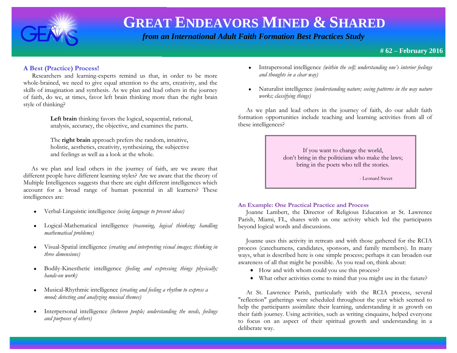

 *from an International Adult Faith Formation Best Practices Study*

# **# 62 – February 2016**

# **A Best (Practice) Process!**

Researchers and learning-experts remind us that, in order to be more whole-brained, we need to give equal attention to the arts, creativity, and the skills of imagination and synthesis. As we plan and lead others in the journey of faith, do we, at times, favor left brain thinking more than the right brain style of thinking?

> **Left brain** thinking favors the logical, sequential, rational, analysis, accuracy, the objective, and examines the parts.

 The **right brain** approach prefers the random, intuitive, holistic, aesthetics, creativity, synthesizing, the subjective and feelings as well aa a look at the whole.

 As we plan and lead others in the journey of faith, are we aware that different people have different learning styles? Are we aware that the theory of Multiple Intelligences suggests that there are eight different intelligences which account for a broad range of human potential in all learners? These intelligences are:

- Verbal-Linguistic intelligence *(using language to present ideas)*
- Logical-Mathematical intelligence *(reasoning, logical thinking; handling mathematical problems)*
- Visual-Spatial intelligence *(creating and interpreting visual images; thinking in three dimensions)*
- Bodily-Kinesthetic intelligence *(feeling and expressing things physically; hands-on work)*
- Musical-Rhythmic intelligence *(creating and feeling a rhythm to express a mood; detecting and analyzing musical themes)*
- Interpersonal intelligence *(between people; understanding the needs, feelings and purposes of others)*
- Intrapersonal intelligence *(within the self; understanding one's interior feelings and thoughts in a clear way)*
- Naturalist intelligence *(understanding nature; seeing patterns in the way nature works; classifying things)*

 As we plan and lead others in the journey of faith, do our adult faith formation opportunities include teaching and learning activities from all of these intelligences?

> If you want to change the world, don't bring in the politicians who make the laws; bring in the poets who tell the stories.

> > - Leonard Sweet

### **An Example: One Practical Practice and Process**

 Joanne Lambert, the Director of Religious Education at St. Lawrence Parish, Miami, FL, shares with us one activity which led the participants beyond logical words and discussions.

 Joanne uses this activity in retreats and with those gathered for the RCIA process (catechumens, candidates, sponsors, and family members). In many ways, what is described here is one simple process; perhaps it can broaden our awareness of all that might be possible. As you read on, think about:

- How and with whom could you use this process?
- What other activities come to mind that you might use in the future?

 At St. Lawrence Parish, particularly with the RCIA process, several "reflection" gatherings were scheduled throughout the year which seemed to help the participants assimilate their learning, understanding it as growth on their faith journey. Using activities, such as writing cinquains, helped everyone to focus on an aspect of their spiritual growth and understanding in a deliberate way.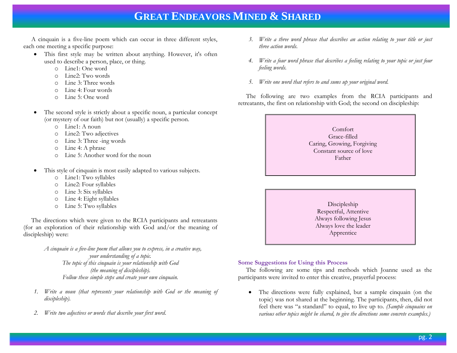A cinquain is a five-line poem which can occur in three different styles, each one meeting a specific purpose:

- This first style may be written about anything. However, it's often used to describe a person, place, or thing.
	- o Line1: One word
	- o Line2: Two words
	- o Line 3: Three words
	- o Line 4: Four words
	- o Line 5: One word
- The second style is strictly about a specific noun, a particular concept (or mystery of our faith) but not (usually) a specific person.
	- o Line1: A noun
	- o Line2: Two adjectives
	- o Line 3: Three -ing words
	- o Line 4: A phrase
	- o Line 5: Another word for the noun
- This style of cinquain is most easily adapted to various subjects.
	- o Line1: Two syllables
	- o Line2: Four syllables
	- o Line 3: Six syllables
	- o Line 4: Eight syllables
	- o Line 5: Two syllables

 The directions which were given to the RCIA participants and retreatants (for an exploration of their relationship with God and/or the meaning of discipleship) were:

> *A cinquain is a five-line poem that allows you to express, in a creative way, your understanding of a topic. The topic of this cinquain is your relationship with God (the meaning of discipleship). Follow these simple steps and create your own cinquain.*

- *1. Write a noun (that represents your relationship with God or the meaning of discipleship).*
- *2. Write two adjectives or words that describe your first word*.
- *3. Write a three word phrase that describes an action relating to your title or just three action words.*
- *4. Write a four word phrase that describes a [feeling](http://ettcweb.lr.k12.nj.us/forms/cinquain.htm) relating to your topic or just four feeling words.*
- *5. Write one word that refers to and sums up your original word.*

 The following are two examples from the RCIA participants and retreatants, the first on relationship with God; the second on discipleship:

| Comfort<br>Grace-filled<br>Caring, Growing, Forgiving<br>Constant source of love<br>Father |  |
|--------------------------------------------------------------------------------------------|--|
|                                                                                            |  |

Discipleship Respectful, Attentive Always following Jesus Always love the leader Apprentice

### **Some Suggestions for Using this Process**

 The following are some tips and methods which Joanne used as the participants were invited to enter this creative, prayerful process:

 The directions were fully explained, but a sample cinquain (on the topic) was not shared at the beginning. The participants, then, did not feel there was "a standard" to equal, to live up to. *(Sample cinquains on various other topics might be shared, to give the directions some concrete examples.)*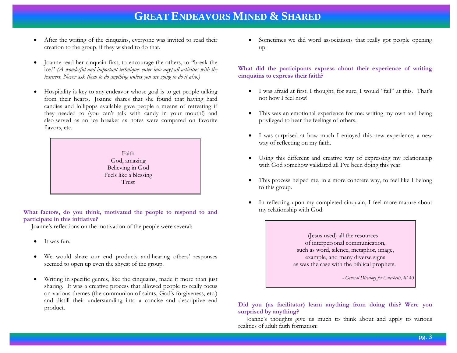- After the writing of the cinquains, everyone was invited to read their creation to the group, if they wished to do that.
- Joanne read her cinquain first, to encourage the others, to "break the ice." *(A wonderful and important technique: enter into any/all activities with the learners. Never ask them to do anything unless you are going to do it also.)*
- Hospitality is key to any endeavor whose goal is to get people talking from their hearts. Joanne shares that she found that having hard candies and lollipops available gave people a means of retreating if they needed to (you can't talk with candy in your mouth!) and also served as an ice breaker as notes were compared on favorite flavors, etc.

Faith God, amazing Believing in God Feels like a blessing Trust

**What factors, do you think, motivated the people to respond to and participate in this initiative?**

Joanne's reflections on the motivation of the people were several:

- It was fun.
- We would share our end products and hearing others' responses seemed to open up even the shyest of the group.
- Writing in specific genres, like the cinquains, made it more than just sharing. It was a creative process that allowed people to really focus on various themes (the communion of saints, God's forgiveness, etc.) and distill their understanding into a concise and descriptive end product.

 Sometimes we did word associations that really got people opening up.

#### **What did the participants express about their experience of writing cinquains to express their faith?**

- I was afraid at first. I thought, for sure, I would "fail" at this. That's not how I feel now!
- This was an emotional experience for me: writing my own and being privileged to hear the feelings of others.
- I was surprised at how much I enjoyed this new experience, a new way of reflecting on my faith.
- Using this different and creative way of expressing my relationship with God somehow validated all I've been doing this year.
- This process helped me, in a more concrete way, to feel like I belong to this group.
- In reflecting upon my completed cinquain, I feel more mature about my relationship with God.

(Jesus used) all the resources of interpersonal communication, such as word, silence, metaphor, image, example, and many diverse signs as was the case with the biblical prophets.

- *General Directory for Catechesis,* #140

**Did you (as facilitator) learn anything from doing this? Were you surprised by anything?**

 Joanne's thoughts give us much to think about and apply to various realities of adult faith formation: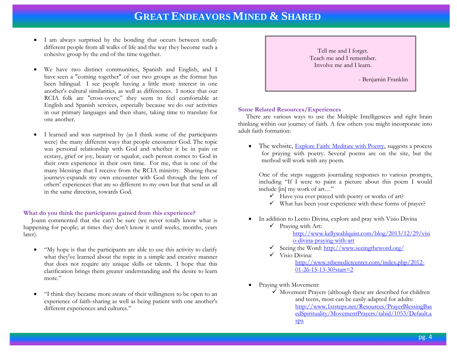- I am always surprised by the bonding that occurs between totally different people from all walks of life and the way they become such a cohesive group by the end of the time together.
- We have two distinct communities, Spanish and English, and I have seen a "coming together" of our two groups as the format has been bilingual. I see people having a little more interest in one another's cultural similarities, as well as differences. I notice that our RCIA folk are "cross-overs;" they seem to feel comfortable at English and Spanish services, especially because we do our activities in our primary languages and then share, taking time to translate for one another.
- I learned and was surprised by (as I think some of the participants were) the many different ways that people encounter God. The topic was personal relationship with God and whether it be in pain or ecstasy, grief or joy, beauty or squalor, each person comes to God in their own experience in their own time. For me, that is one of the many blessings that I receive from the RCIA ministry. Sharing these journeys expands my own encounter with God through the lens of others' experiences that are so different to my own but that send us all in the same direction, towards God.

#### **What do you think the participants gained from this experience?**

 Joann commented that she can't be sure (we never totally know what is happening for people; at times they don't know it until weeks, months, years later).

- "My hope is that the participants are able to use this activity to clarify what they've learned about the topic in a simple and creative manner that does not require any unique skills or talents. I hope that this clarification brings them greater understanding and the desire to learn more."
- "I think they became more aware of their willingness to be open to an experience of faith-sharing as well as being patient with one another's different experiences and cultures."



#### **Some Related Resources/Experiences**

 There are various ways to use the Multiple Intelligences and right brain thinking within our journey of faith. A few others you might incorporate into adult faith formation:

• The website, **[Explore Faith: Meditate with Poetr](http://www.explorefaith.org/oasis/poetry/index.html)y**, suggests a process for praying with poetry. Several poems are on the site, but the method will work with any poem.

One of the steps suggests journaling responses to various prompts, including "If I were to paint a picture about this poem I would include [in] my work of art…"

- $\checkmark$  Have you ever prayed with poetry or works of art?
- $\checkmark$  What has been your experience with these forms of prayer?
- In addition to Lectio Divina, explore and pray with Visio Divina
	- $\checkmark$  Praying with Art: [http://www.kellywahlquist.com/blog/2013/12/29/visi](http://www.kellywahlquist.com/blog/2013/12/29/visio-divina-praying-with-art) [o-divina-praying-with-art](http://www.kellywahlquist.com/blog/2013/12/29/visio-divina-praying-with-art)
	- $\checkmark$  Seeing the Word[: http://www.seeingtheword.org/](http://www.seeingtheword.org/)
	- $\checkmark$  Visio Divina:

[http://www.stbenedictcenter.com/index.php/2012-](http://www.stbenedictcenter.com/index.php/2012-01-26-15-13-30?start=2) [01-26-15-13-30?start=2](http://www.stbenedictcenter.com/index.php/2012-01-26-15-13-30?start=2)

- Praying with Movement:
	- $\checkmark$  Movement Prayers (although these are described for children and teens, most can be easily adapted for adults: [http://www.1ststeps.net/Resources/PrayerBlessingBas](http://www.1ststeps.net/Resources/PrayerBlessingBasedSpirituality/MovementPrayers/tabid/1053/Default.aspx) [edSpirituality/MovementPrayers/tabid/1053/Default.a](http://www.1ststeps.net/Resources/PrayerBlessingBasedSpirituality/MovementPrayers/tabid/1053/Default.aspx) [spx](http://www.1ststeps.net/Resources/PrayerBlessingBasedSpirituality/MovementPrayers/tabid/1053/Default.aspx)